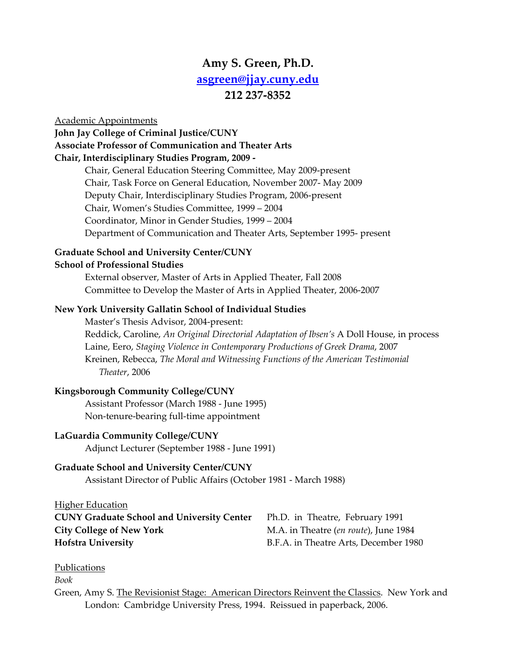# **Amy S. Green, Ph.D. asgreen@jjay.cuny.edu 212 237‐8352**

#### Academic Appointments

**John Jay College of Criminal Justice/CUNY Associate Professor of Communication and Theater Arts Chair, Interdisciplinary Studies Program, 2009 ‐** 

> Chair, General Education Steering Committee, May 2009‐present Chair, Task Force on General Education, November 2007‐ May 2009 Deputy Chair, Interdisciplinary Studies Program, 2006‐present Chair, Women's Studies Committee, 1999 – 2004 Coordinator, Minor in Gender Studies, 1999 – 2004 Department of Communication and Theater Arts, September 1995‐ present

# **Graduate School and University Center/CUNY**

### **School of Professional Studies**

External observer, Master of Arts in Applied Theater, Fall 2008 Committee to Develop the Master of Arts in Applied Theater, 2006‐2007

### **New York University Gallatin School of Individual Studies**

Master's Thesis Advisor, 2004‐present: Reddick, Caroline, *An Original Directorial Adaptation of Ibsen's* A Doll House, in process Laine, Eero, *Staging Violence in Contemporary Productions of Greek Drama*, 2007 Kreinen, Rebecca, *The Moral and Witnessing Functions of the American Testimonial Theater*, 2006

### **Kingsborough Community College/CUNY**

Assistant Professor (March 1988 ‐ June 1995) Non‐tenure‐bearing full‐time appointment

### **LaGuardia Community College/CUNY**

Adjunct Lecturer (September 1988 ‐ June 1991)

### **Graduate School and University Center/CUNY**

Assistant Director of Public Affairs (October 1981 ‐ March 1988)

# **Higher Education**

| <b>CUNY Graduate School and University Center</b> | Ph.D. in Theatre, February 1991               |
|---------------------------------------------------|-----------------------------------------------|
| <b>City College of New York</b>                   | M.A. in Theatre <i>(en route)</i> , June 1984 |
| <b>Hofstra University</b>                         | B.F.A. in Theatre Arts, December 1980         |

### **Publications**

*Book*

Green, Amy S. The Revisionist Stage: American Directors Reinvent the Classics. New York and London: Cambridge University Press, 1994. Reissued in paperback, 2006.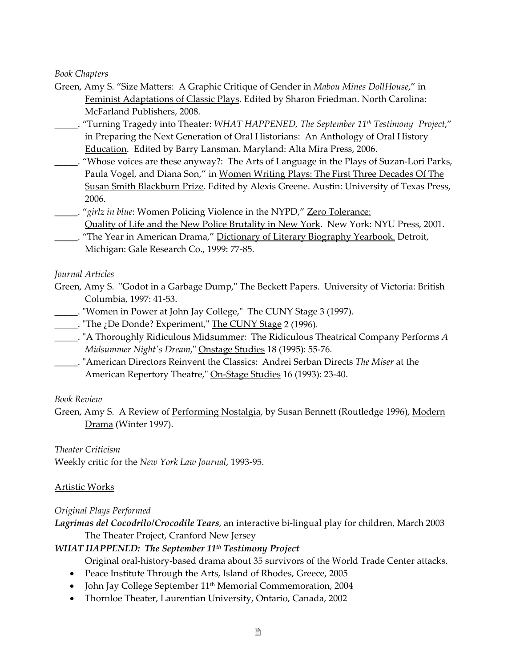*Book Chapters*

- Green, Amy S. "Size Matters: A Graphic Critique of Gender in *Mabou Mines DollHouse*," in Feminist Adaptations of Classic Plays. Edited by Sharon Friedman. North Carolina: McFarland Publishers, 2008.
- \_\_\_\_\_. "Turning Tragedy into Theater: *WHAT HAPPENED, The September 11th Testimony Project*," in Preparing the Next Generation of Oral Historians: An Anthology of Oral History Education. Edited by Barry Lansman. Maryland: Alta Mira Press, 2006.
- \_\_\_\_\_. "Whose voices are these anyway?: The Arts of Language in the Plays of Suzan‐Lori Parks, Paula Vogel, and Diana Son," in Women Writing Plays: The First Three Decades Of The Susan Smith Blackburn Prize. Edited by Alexis Greene. Austin: University of Texas Press, 2006.
- \_\_\_\_\_. "*girlz in blue*: Women Policing Violence in the NYPD," Zero Tolerance:
	- Quality of Life and the New Police Brutality in New York. New York: NYU Press, 2001.
- \_\_\_\_\_. "The Year in American Drama," Dictionary of Literary Biography Yearbook. Detroit, Michigan: Gale Research Co., 1999: 77‐85.

### *Journal Articles*

- Green, Amy S. "Godot in a Garbage Dump," The Beckett Papers. University of Victoria: British Columbia, 1997: 41‐53.
- Women in Power at John Jay College," The CUNY Stage 3 (1997).
- \_\_\_\_\_. "The ¿De Donde? Experiment," The CUNY Stage 2 (1996).
- \_\_\_\_\_. ʺA Thoroughly Ridiculous Midsummer: The Ridiculous Theatrical Company Performs *A Midsummer Nightʹs Dream*,ʺ Onstage Studies 18 (1995): 55‐76.
- \_\_\_\_\_. ʺAmerican Directors Reinvent the Classics: Andrei Serban Directs *The Miser* at the American Repertory Theatre," On-Stage Studies 16 (1993): 23-40.

### *Book Review*

Green, Amy S. A Review of Performing Nostalgia, by Susan Bennett (Routledge 1996), Modern Drama (Winter 1997).

*Theater Criticism* Weekly critic for the *New York Law Journal*, 1993‐95.

### Artistic Works

### *Original Plays Performed*

*Lagrimas del Cocodrilo/Crocodile Tears*, an interactive bi‐lingual play for children, March 2003 The Theater Project, Cranford New Jersey

### *WHAT HAPPENED: The September 11th Testimony Project*

Original oral‐history‐based drama about 35 survivors of the World Trade Center attacks.

- Peace Institute Through the Arts, Island of Rhodes, Greece, 2005
- John Jay College September 11<sup>th</sup> Memorial Commemoration, 2004
- Thornloe Theater, Laurentian University, Ontario, Canada, 2002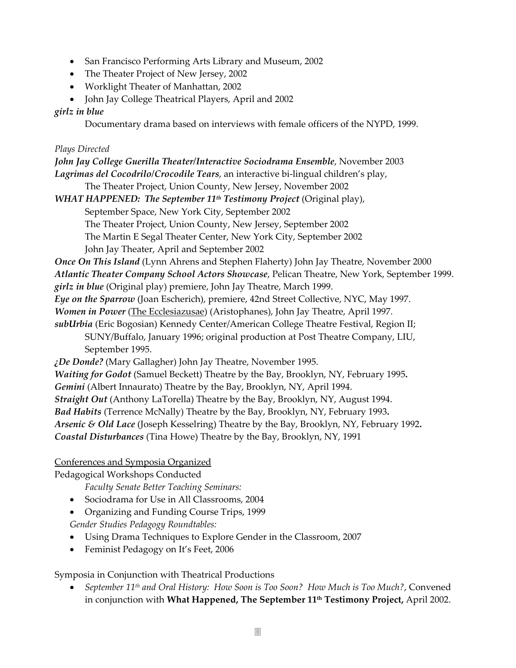- San Francisco Performing Arts Library and Museum, 2002
- The Theater Project of New Jersey, 2002
- Worklight Theater of Manhattan, 2002
- John Jay College Theatrical Players, April and 2002

#### *girlz in blue*

Documentary drama based on interviews with female officers of the NYPD, 1999.

#### *Plays Directed*

### *John Jay College Guerilla Theater/Interactive Sociodrama Ensemble*, November 2003 *Lagrimas del Cocodrilo/Crocodile Tears*, an interactive bi‐lingual children's play,

The Theater Project, Union County, New Jersey, November 2002

*WHAT HAPPENED: The September 11th Testimony Project* (Original play),

September Space, New York City, September 2002

The Theater Project, Union County, New Jersey, September 2002

The Martin E Segal Theater Center, New York City, September 2002

John Jay Theater, April and September 2002

*Once On This Island* (Lynn Ahrens and Stephen Flaherty) John Jay Theatre, November 2000 *Atlantic Theater Company School Actors Showcase*, Pelican Theatre, New York, September 1999.

*girlz in blue* (Original play) premiere, John Jay Theatre, March 1999.

*Eye on the Sparrow* (Joan Escherich), premiere, 42nd Street Collective, NYC, May 1997.

*Women in Power* (The Ecclesiazusae) (Aristophanes), John Jay Theatre, April 1997.

*subUrbia* (Eric Bogosian) Kennedy Center/American College Theatre Festival, Region II; SUNY/Buffalo, January 1996; original production at Post Theatre Company, LIU, September 1995.

*¿De Donde?* (Mary Gallagher) John Jay Theatre, November 1995.

*Waiting for Godot* (Samuel Beckett) Theatre by the Bay, Brooklyn, NY, February 1995**.**

*Gemini* (Albert Innaurato) Theatre by the Bay, Brooklyn, NY, April 1994.

*Straight Out* (Anthony LaTorella) Theatre by the Bay, Brooklyn, NY, August 1994.

*Bad Habits* (Terrence McNally) Theatre by the Bay, Brooklyn, NY, February 1993**.**

*Arsenic & Old Lace* (Joseph Kesselring) Theatre by the Bay, Brooklyn, NY, February 1992**.**

*Coastal Disturbances* (Tina Howe) Theatre by the Bay, Brooklyn, NY, 1991

### Conferences and Symposia Organized

Pedagogical Workshops Conducted

*Faculty Senate Better Teaching Seminars:* 

• Sociodrama for Use in All Classrooms, 2004

• Organizing and Funding Course Trips, 1999

*Gender Studies Pedagogy Roundtables:*

- Using Drama Techniques to Explore Gender in the Classroom, 2007
- Feminist Pedagogy on It's Feet, 2006

Symposia in Conjunction with Theatrical Productions

• *September 11th and Oral History: How Soon is Too Soon? How Much is Too Much?*, Convened in conjunction with **What Happened, The September 11th Testimony Project,** April 2002.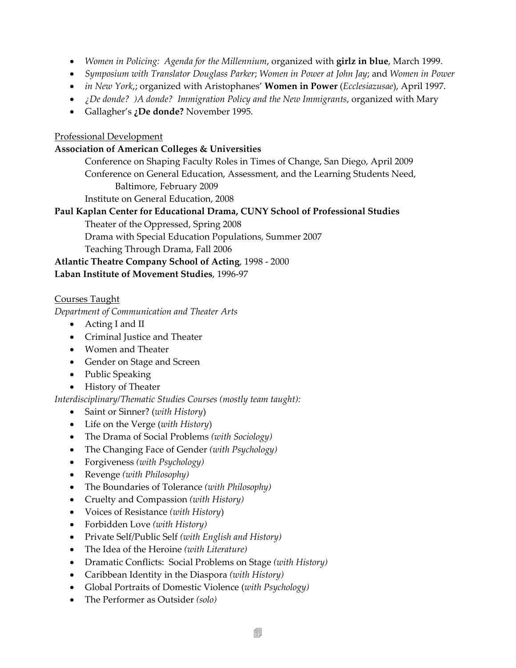- *Women in Policing: Agenda for the Millennium*, organized with **girlz in blue**, March 1999.
- *Symposium with Translator Douglass Parker*; *Women in Power at John Jay*; and *Women in Power*
- *in New York*,; organized with Aristophanes' **Women in Power** (*Ecclesiazusae*), April 1997.
- *¿De donde? )A donde? Immigration Policy and the New Immigrants*, organized with Mary
- Gallagher's **¿De donde?** November 1995.

### Professional Development

#### **Association of American Colleges & Universities**

Conference on Shaping Faculty Roles in Times of Change, San Diego, April 2009 Conference on General Education, Assessment, and the Learning Students Need, Baltimore, February 2009

Institute on General Education, 2008

### **Paul Kaplan Center for Educational Drama, CUNY School of Professional Studies**

Theater of the Oppressed, Spring 2008

Drama with Special Education Populations, Summer 2007

Teaching Through Drama, Fall 2006

**Atlantic Theatre Company School of Acting**, 1998 ‐ 2000

### **Laban Institute of Movement Studies**, 1996‐97

### Courses Taught

### *Department of Communication and Theater Arts*

- Acting I and II
- Criminal Justice and Theater
- Women and Theater
- Gender on Stage and Screen
- Public Speaking
- History of Theater

*Interdisciplinary/Thematic Studies Courses (mostly team taught):*

- Saint or Sinner? (*with History*)
- Life on the Verge (*with History*)
- The Drama of Social Problems *(with Sociology)*
- The Changing Face of Gender *(with Psychology)*
- Forgiveness *(with Psychology)*
- Revenge *(with Philosophy)*
- The Boundaries of Tolerance *(with Philosophy)*
- Cruelty and Compassion *(with History)*
- Voices of Resistance *(with History*)
- Forbidden Love *(with History)*
- Private Self/Public Self *(with English and History)*
- The Idea of the Heroine *(with Literature)*
- Dramatic Conflicts: Social Problems on Stage *(with History)*
- Caribbean Identity in the Diaspora *(with History)*
- Global Portraits of Domestic Violence (*with Psychology)*
- The Performer as Outsider *(solo)*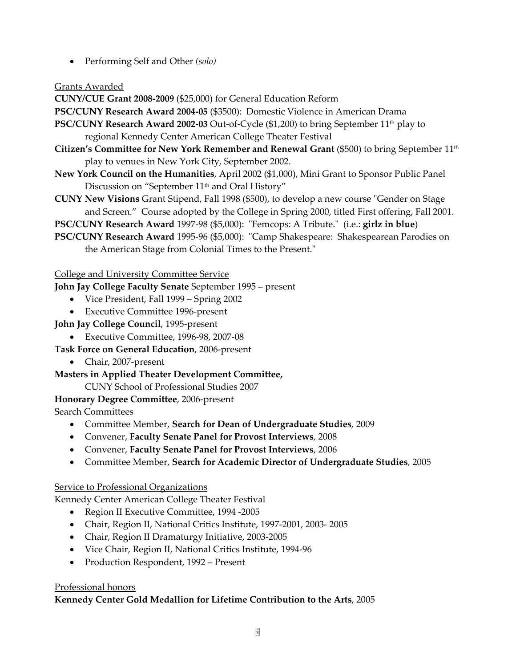• Performing Self and Other *(solo)*

### Grants Awarded

**CUNY/CUE Grant 2008‐2009** (\$25,000) for General Education Reform

**PSC/CUNY Research Award 2004‐05** (\$3500): Domestic Violence in American Drama

- **PSC/CUNY Research Award 2002‐03** Out‐of‐Cycle (\$1,200) to bring September 11th play to regional Kennedy Center American College Theater Festival
- **Citizen's Committee for New York Remember and Renewal Grant** (\$500) to bring September 11th play to venues in New York City, September 2002.
- **New York Council on the Humanities**, April 2002 (\$1,000), Mini Grant to Sponsor Public Panel Discussion on "September 11<sup>th</sup> and Oral History"
- **CUNY New Visions** Grant Stipend, Fall 1998 (\$500), to develop a new course "Gender on Stage and Screen." Course adopted by the College in Spring 2000, titled First offering, Fall 2001.
- **PSC/CUNY Research Award** 1997‐98 (\$5,000): ʺFemcops: A Tribute.ʺ (i.e.: **girlz in blue**)
- **PSC/CUNY Research Award** 1995-96 (\$5,000): "Camp Shakespeare: Shakespearean Parodies on the American Stage from Colonial Times to the Present."

# College and University Committee Service

**John Jay College Faculty Senate** September 1995 – present

- Vice President, Fall 1999 Spring 2002
- Executive Committee 1996‐present
- **John Jay College Council**, 1995‐present
	- Executive Committee, 1996‐98, 2007‐08

# **Task Force on General Education**, 2006‐present

• Chair, 2007‐present

**Masters in Applied Theater Development Committee,** 

CUNY School of Professional Studies 2007

# **Honorary Degree Committee**, 2006‐present

Search Committees

- Committee Member, **Search for Dean of Undergraduate Studies**, 2009
- Convener, **Faculty Senate Panel for Provost Interviews**, 2008
- Convener, **Faculty Senate Panel for Provost Interviews**, 2006
- Committee Member, **Search for Academic Director of Undergraduate Studies**, 2005

# Service to Professional Organizations

Kennedy Center American College Theater Festival

- Region II Executive Committee, 1994 -2005
- Chair, Region II, National Critics Institute, 1997‐2001, 2003‐ 2005
- Chair, Region II Dramaturgy Initiative, 2003-2005
- Vice Chair, Region II, National Critics Institute, 1994‐96
- Production Respondent, 1992 Present

# Professional honors

# **Kennedy Center Gold Medallion for Lifetime Contribution to the Arts**, 2005